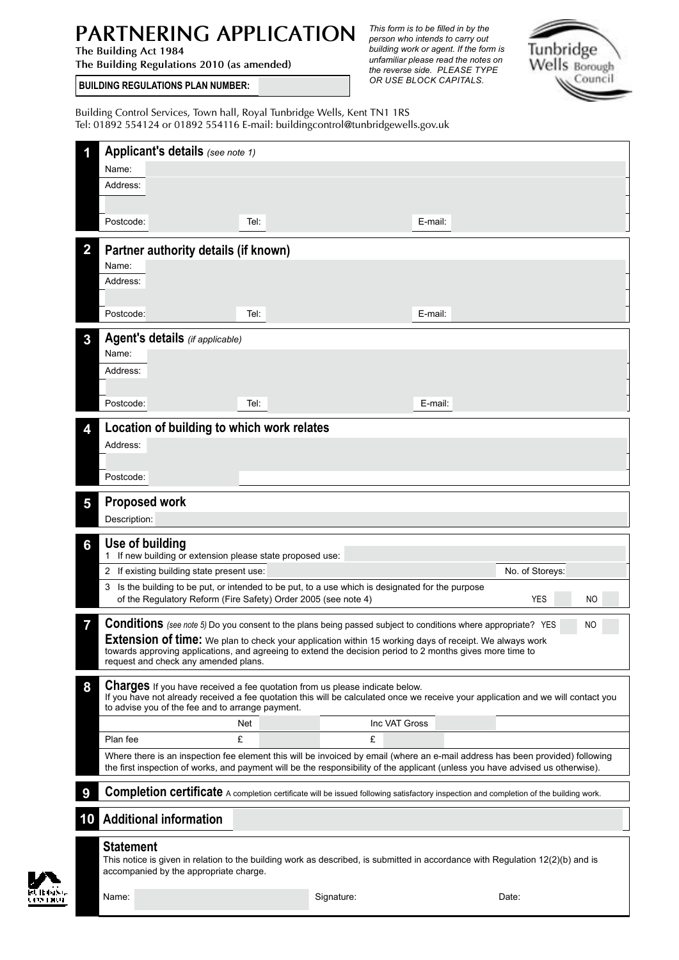## *This form is to be filled in by the* **PARTNERING APPLICATION** *person who intends to carry out*

**The Building Regulations 2010 (as amended)** 

the reverse side. PLEASE TYPE OR USE BLOCK CAPITALS. *building work or agent. If the form is unfamiliar please read the notes on* 



**BUILDING REGULATIONS PLAN NUMBER:** 

Building Control Services, Town hall, Royal Tunbridge Wells, Kent TN1 1RS Tel: 01892 554124 or 01892 554116 E-mail: buildingcontrol@tunbridgewells.gov.uk

|    | Applicant's details (see note 1)<br>Name:                                                                                                                                                                                                                                                                                                                                                 |      |               |         |                 |  |
|----|-------------------------------------------------------------------------------------------------------------------------------------------------------------------------------------------------------------------------------------------------------------------------------------------------------------------------------------------------------------------------------------------|------|---------------|---------|-----------------|--|
|    | Address:                                                                                                                                                                                                                                                                                                                                                                                  |      |               |         |                 |  |
|    |                                                                                                                                                                                                                                                                                                                                                                                           |      |               |         |                 |  |
|    |                                                                                                                                                                                                                                                                                                                                                                                           |      |               |         |                 |  |
|    | Postcode:                                                                                                                                                                                                                                                                                                                                                                                 | Tel: |               | E-mail: |                 |  |
|    | Partner authority details (if known)<br>Name:<br>Address:                                                                                                                                                                                                                                                                                                                                 |      |               |         |                 |  |
|    |                                                                                                                                                                                                                                                                                                                                                                                           |      |               |         |                 |  |
|    | Postcode:                                                                                                                                                                                                                                                                                                                                                                                 | Tel: |               | E-mail: |                 |  |
| 3  | Agent's details (if applicable)                                                                                                                                                                                                                                                                                                                                                           |      |               |         |                 |  |
|    | Name:                                                                                                                                                                                                                                                                                                                                                                                     |      |               |         |                 |  |
|    | Address:                                                                                                                                                                                                                                                                                                                                                                                  |      |               |         |                 |  |
|    | Postcode:                                                                                                                                                                                                                                                                                                                                                                                 | Tel: |               | E-mail: |                 |  |
|    |                                                                                                                                                                                                                                                                                                                                                                                           |      |               |         |                 |  |
|    | Location of building to which work relates                                                                                                                                                                                                                                                                                                                                                |      |               |         |                 |  |
|    | Address:                                                                                                                                                                                                                                                                                                                                                                                  |      |               |         |                 |  |
|    |                                                                                                                                                                                                                                                                                                                                                                                           |      |               |         |                 |  |
|    | Postcode:                                                                                                                                                                                                                                                                                                                                                                                 |      |               |         |                 |  |
| 5  | <b>Proposed work</b>                                                                                                                                                                                                                                                                                                                                                                      |      |               |         |                 |  |
|    | Description:                                                                                                                                                                                                                                                                                                                                                                              |      |               |         |                 |  |
| 6  | Use of building<br>1 If new building or extension please state proposed use:                                                                                                                                                                                                                                                                                                              |      |               |         |                 |  |
|    | 2 If existing building state present use:                                                                                                                                                                                                                                                                                                                                                 |      |               |         | No. of Storeys: |  |
|    | 3 Is the building to be put, or intended to be put, to a use which is designated for the purpose<br><b>YES</b><br>of the Regulatory Reform (Fire Safety) Order 2005 (see note 4)<br>NO                                                                                                                                                                                                    |      |               |         |                 |  |
|    |                                                                                                                                                                                                                                                                                                                                                                                           |      |               |         |                 |  |
| 7  | <b>Conditions</b> (see note 5) Do you consent to the plans being passed subject to conditions where appropriate? YES<br>ΝO<br>Extension of time: We plan to check your application within 15 working days of receipt. We always work<br>towards approving applications, and agreeing to extend the decision period to 2 months gives more time to<br>request and check any amended plans. |      |               |         |                 |  |
| 8  | <b>Charges</b> If you have received a fee quotation from us please indicate below.<br>If you have not already received a fee quotation this will be calculated once we receive your application and we will contact you<br>to advise you of the fee and to arrange payment.                                                                                                               |      |               |         |                 |  |
|    |                                                                                                                                                                                                                                                                                                                                                                                           | Net  | Inc VAT Gross |         |                 |  |
|    | Plan fee                                                                                                                                                                                                                                                                                                                                                                                  | £    | £             |         |                 |  |
|    | Where there is an inspection fee element this will be invoiced by email (where an e-mail address has been provided) following<br>the first inspection of works, and payment will be the responsibility of the applicant (unless you have advised us otherwise).                                                                                                                           |      |               |         |                 |  |
|    | <b>Completion certificate</b> A completion certificate will be issued following satisfactory inspection and completion of the building work.                                                                                                                                                                                                                                              |      |               |         |                 |  |
|    |                                                                                                                                                                                                                                                                                                                                                                                           |      |               |         |                 |  |
| 10 | <b>Additional information</b>                                                                                                                                                                                                                                                                                                                                                             |      |               |         |                 |  |
|    | <b>Statement</b><br>This notice is given in relation to the building work as described, is submitted in accordance with Regulation 12(2)(b) and is<br>accompanied by the appropriate charge.                                                                                                                                                                                              |      |               |         |                 |  |